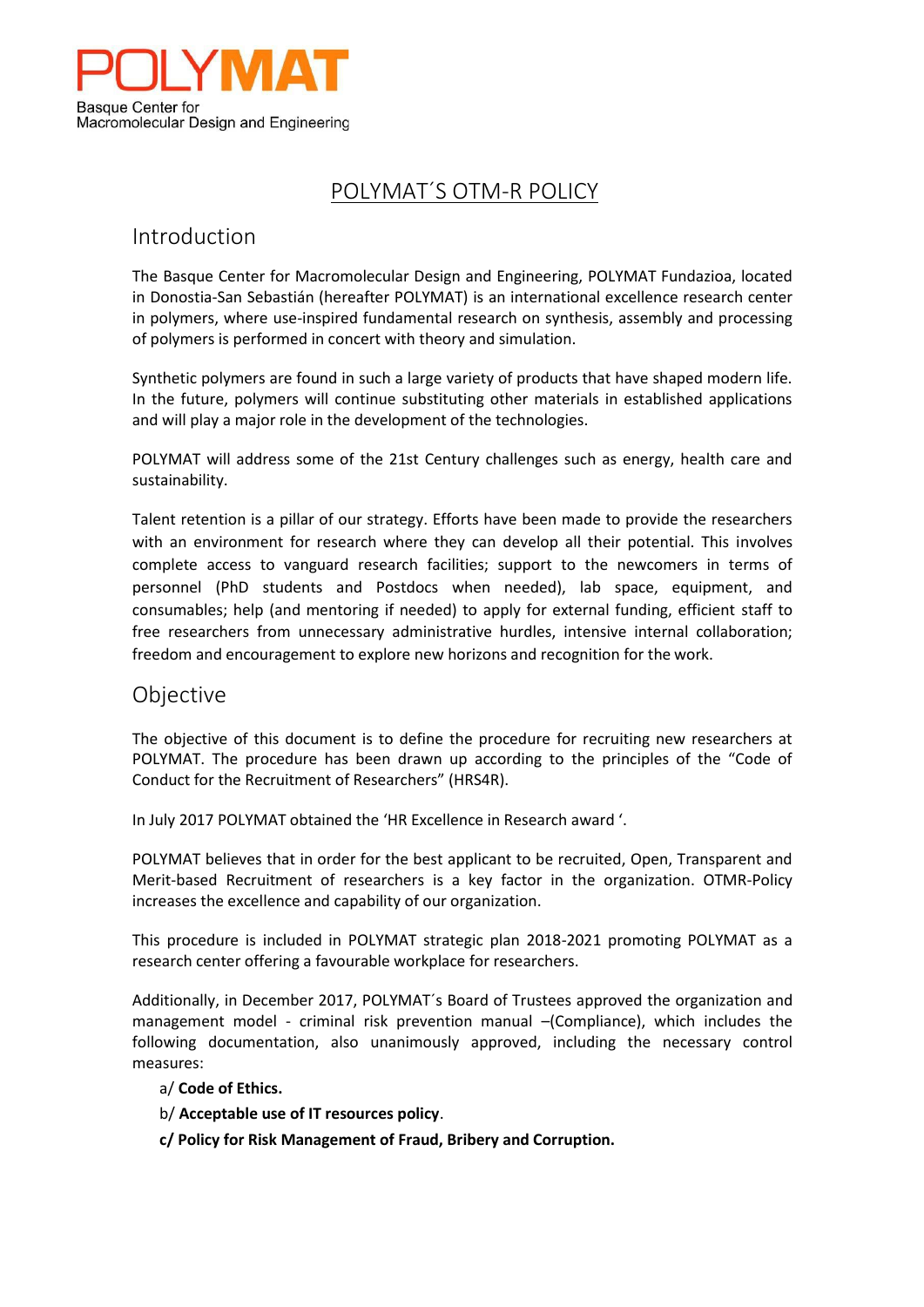

## POLYMAT´S OTM-R POLICY

## Introduction

The Basque Center for Macromolecular Design and Engineering, POLYMAT Fundazioa, located in Donostia-San Sebastián (hereafter POLYMAT) is an international excellence research center in polymers, where use-inspired fundamental research on synthesis, assembly and processing of polymers is performed in concert with theory and simulation.

Synthetic polymers are found in such a large variety of products that have shaped modern life. In the future, polymers will continue substituting other materials in established applications and will play a major role in the development of the technologies.

POLYMAT will address some of the 21st Century challenges such as energy, health care and sustainability.

Talent retention is a pillar of our strategy. Efforts have been made to provide the researchers with an environment for research where they can develop all their potential. This involves complete access to vanguard research facilities; support to the newcomers in terms of personnel (PhD students and Postdocs when needed), lab space, equipment, and consumables; help (and mentoring if needed) to apply for external funding, efficient staff to free researchers from unnecessary administrative hurdles, intensive internal collaboration; freedom and encouragement to explore new horizons and recognition for the work.

## Objective

The objective of this document is to define the procedure for recruiting new researchers at POLYMAT. The procedure has been drawn up according to the principles of the "Code of Conduct for the Recruitment of Researchers" (HRS4R).

In July 2017 POLYMAT obtained the 'HR Excellence in Research award '.

POLYMAT believes that in order for the best applicant to be recruited, Open, Transparent and Merit-based Recruitment of researchers is a key factor in the organization. OTMR-Policy increases the excellence and capability of our organization.

This procedure is included in POLYMAT strategic plan 2018-2021 promoting POLYMAT as a research center offering a favourable workplace for researchers.

Additionally, in December 2017, POLYMAT´s Board of Trustees approved the organization and management model - criminal risk prevention manual –(Compliance), which includes the following documentation, also unanimously approved, including the necessary control measures:

- a/ **Code of Ethics.**
- b/ **Acceptable use of IT resources policy**.
- **c/ Policy for Risk Management of Fraud, Bribery and Corruption.**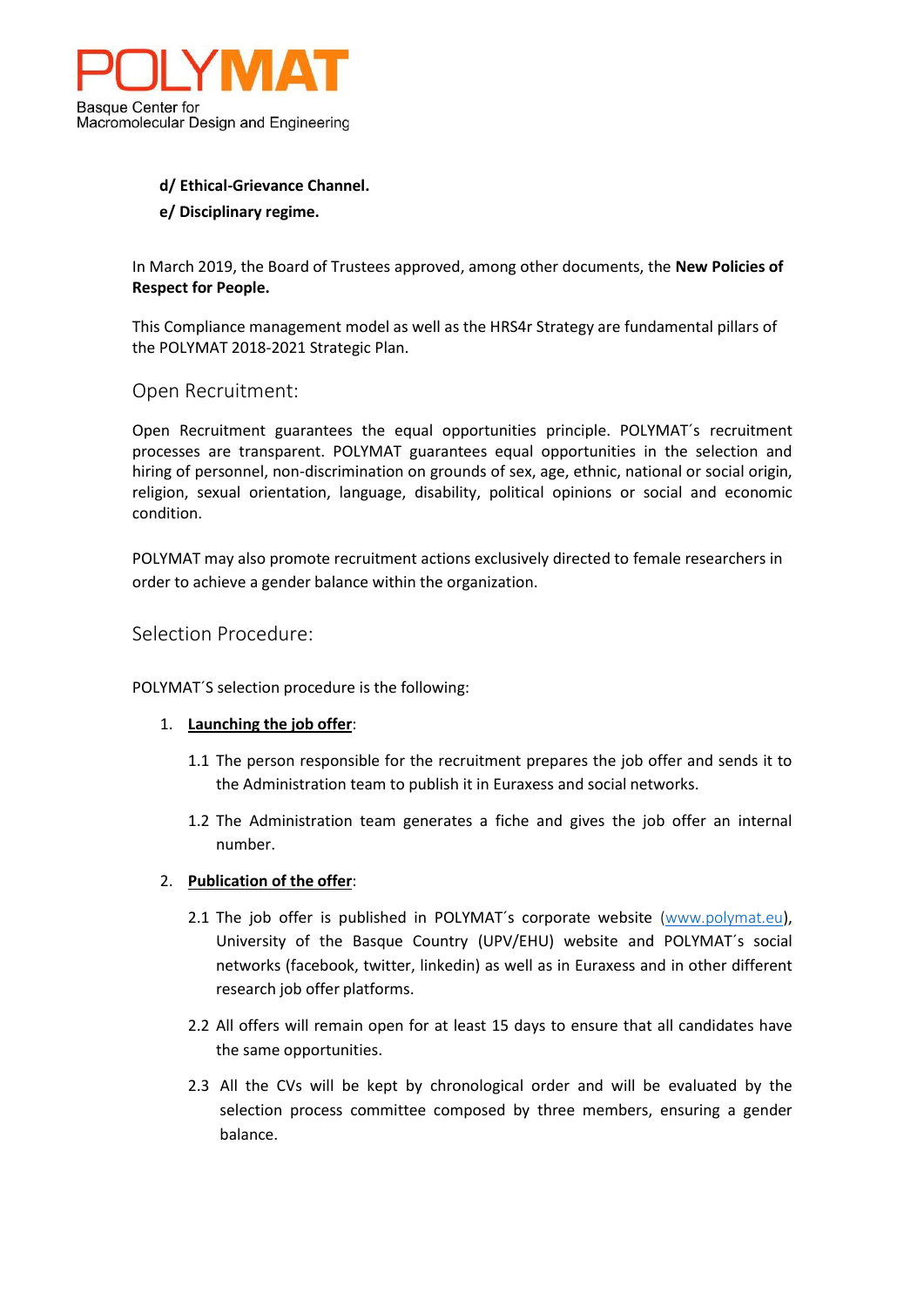

# **d/ Ethical-Grievance Channel.**

#### **e/ Disciplinary regime.**

In March 2019, the Board of Trustees approved, among other documents, the **New Policies of Respect for People.**

This Compliance management model as well as the HRS4r Strategy are fundamental pillars of the POLYMAT 2018-2021 Strategic Plan.

#### Open Recruitment:

Open Recruitment guarantees the equal opportunities principle. POLYMAT´s recruitment processes are transparent. POLYMAT guarantees equal opportunities in the selection and hiring of personnel, non-discrimination on grounds of sex, age, ethnic, national or social origin, religion, sexual orientation, language, disability, political opinions or social and economic condition.

POLYMAT may also promote recruitment actions exclusively directed to female researchers in order to achieve a gender balance within the organization.

Selection Procedure:

POLYMAT´S selection procedure is the following:

#### 1. **Launching the job offer**:

- 1.1 The person responsible for the recruitment prepares the job offer and sends it to the Administration team to publish it in Euraxess and social networks.
- 1.2 The Administration team generates a fiche and gives the job offer an internal number.

#### 2. **Publication of the offer**:

- 2.1 The job offer is published in POLYMAT's corporate website [\(www.polymat.eu](http://www.polymat.eu/)), University of the Basque Country (UPV/EHU) website and POLYMAT´s social networks (facebook, twitter, linkedin) as well as in Euraxess and in other different research job offer platforms.
- 2.2 All offers will remain open for at least 15 days to ensure that all candidates have the same opportunities.
- 2.3 All the CVs will be kept by chronological order and will be evaluated by the selection process committee composed by three members, ensuring a gender balance.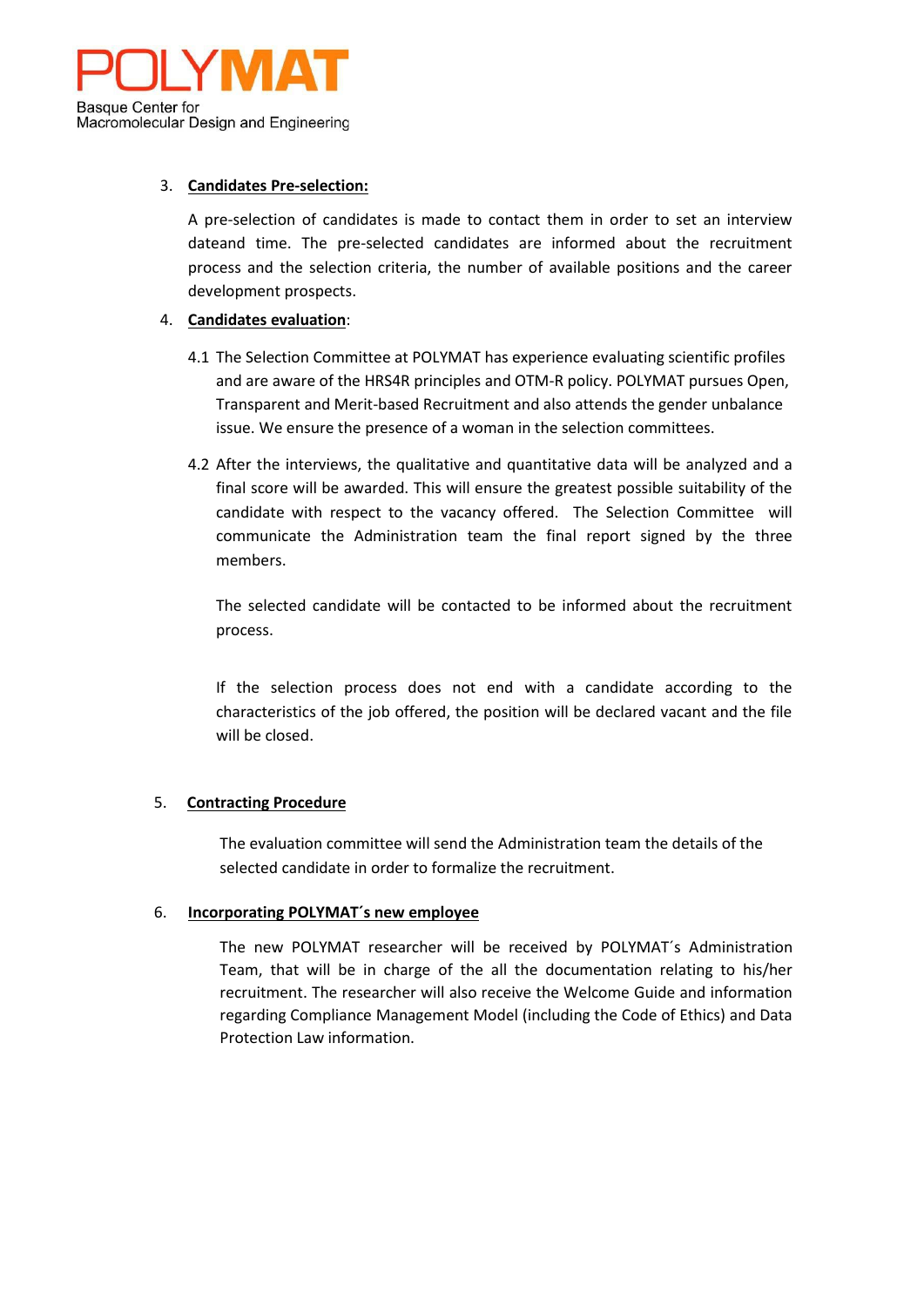

#### 3. **Candidates Pre-selection:**

A pre-selection of candidates is made to contact them in order to set an interview dateand time. The pre-selected candidates are informed about the recruitment process and the selection criteria, the number of available positions and the career development prospects.

#### 4. **Candidates evaluation**:

- 4.1 The Selection Committee at POLYMAT has experience evaluating scientific profiles and are aware of the HRS4R principles and OTM-R policy. POLYMAT pursues Open, Transparent and Merit-based Recruitment and also attends the gender unbalance issue. We ensure the presence of a woman in the selection committees.
- 4.2 After the interviews, the qualitative and quantitative data will be analyzed and a final score will be awarded. This will ensure the greatest possible suitability of the candidate with respect to the vacancy offered. The Selection Committee will communicate the Administration team the final report signed by the three members.

The selected candidate will be contacted to be informed about the recruitment process.

If the selection process does not end with a candidate according to the characteristics of the job offered, the position will be declared vacant and the file will be closed.

#### 5. **Contracting Procedure**

The evaluation committee will send the Administration team the details of the selected candidate in order to formalize the recruitment.

#### 6. **Incorporating POLYMAT´s new employee**

The new POLYMAT researcher will be received by POLYMAT´s Administration Team, that will be in charge of the all the documentation relating to his/her recruitment. The researcher will also receive the Welcome Guide and information regarding Compliance Management Model (including the Code of Ethics) and Data Protection Law information.